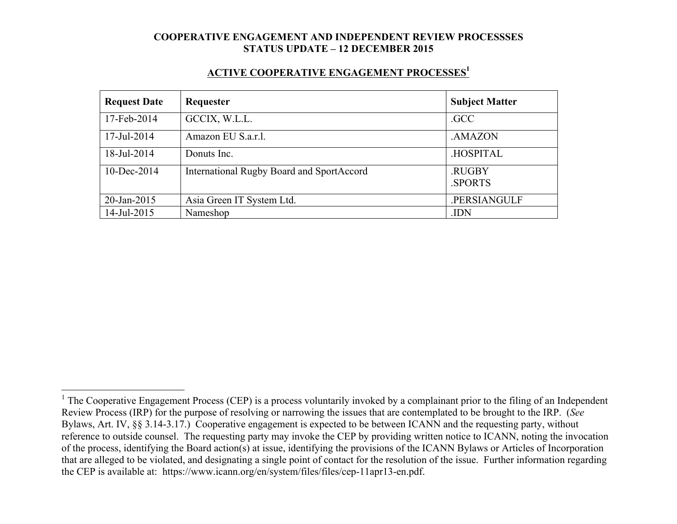#### **ACTIVE COOPERATIVE ENGAGEMENT PROCESSES1**

| <b>Request Date</b> | Requester                                 | <b>Subject Matter</b> |
|---------------------|-------------------------------------------|-----------------------|
| 17-Feb-2014         | GCCIX, W.L.L.                             | .GCC                  |
| 17-Jul-2014         | Amazon EU S.a.r.l.                        | .AMAZON               |
| 18-Jul-2014         | Donuts Inc.                               | .HOSPITAL             |
| $10$ -Dec-2014      | International Rugby Board and SportAccord | .RUGBY<br>.SPORTS     |
| 20-Jan-2015         | Asia Green IT System Ltd.                 | .PERSIANGULF          |
| 14-Jul-2015         | Nameshop                                  | .IDN                  |

<sup>&</sup>lt;sup>1</sup> The Cooperative Engagement Process (CEP) is a process voluntarily invoked by a complainant prior to the filing of an Independent Review Process (IRP) for the purpose of resolving or narrowing the issues that are contemplated to be brought to the IRP. (*See* Bylaws, Art. IV, §§ 3.14-3.17.) Cooperative engagement is expected to be between ICANN and the requesting party, without reference to outside counsel. The requesting party may invoke the CEP by providing written notice to ICANN, noting the invocation of the process, identifying the Board action(s) at issue, identifying the provisions of the ICANN Bylaws or Articles of Incorporation that are alleged to be violated, and designating a single point of contact for the resolution of the issue. Further information regarding the CEP is available at: https://www.icann.org/en/system/files/files/cep-11apr13-en.pdf.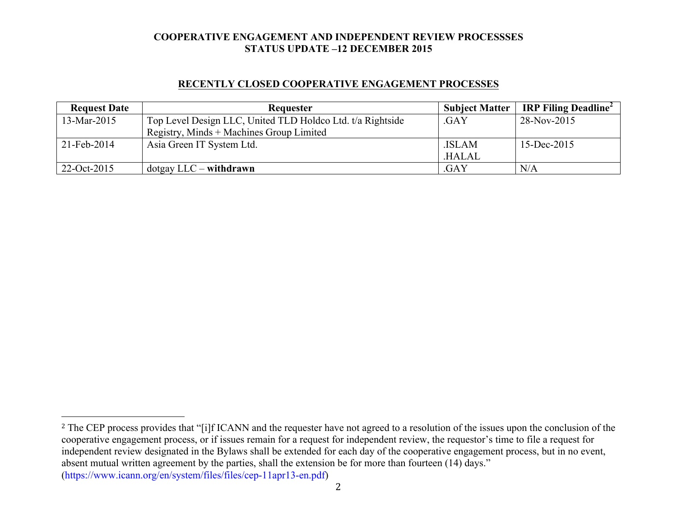### **RECENTLY CLOSED COOPERATIVE ENGAGEMENT PROCESSES**

| <b>Request Date</b> | <b>Requester</b>                                           | <b>Subject Matter</b> | IRP Filing Deadline <sup>2</sup> |
|---------------------|------------------------------------------------------------|-----------------------|----------------------------------|
| 13-Mar-2015         | Top Level Design LLC, United TLD Holdco Ltd. t/a Rightside | .GAY                  | 28-Nov-2015                      |
|                     | Registry, Minds + Machines Group Limited                   |                       |                                  |
| 21-Feb-2014         | Asia Green IT System Ltd.                                  | .ISLAM                | 15-Dec-2015                      |
|                     |                                                            | .HALAL                |                                  |
| 22-Oct-2015         | $dot$ gay LLC – withdrawn                                  | .GAY                  | N/A                              |

 

<sup>&</sup>lt;sup>2</sup> The CEP process provides that "[i]f ICANN and the requester have not agreed to a resolution of the issues upon the conclusion of the cooperative engagement process, or if issues remain for a request for independent review, the requestor's time to file a request for independent review designated in the Bylaws shall be extended for each day of the cooperative engagement process, but in no event, absent mutual written agreement by the parties, shall the extension be for more than fourteen (14) days." (https://www.icann.org/en/system/files/files/cep-11apr13-en.pdf)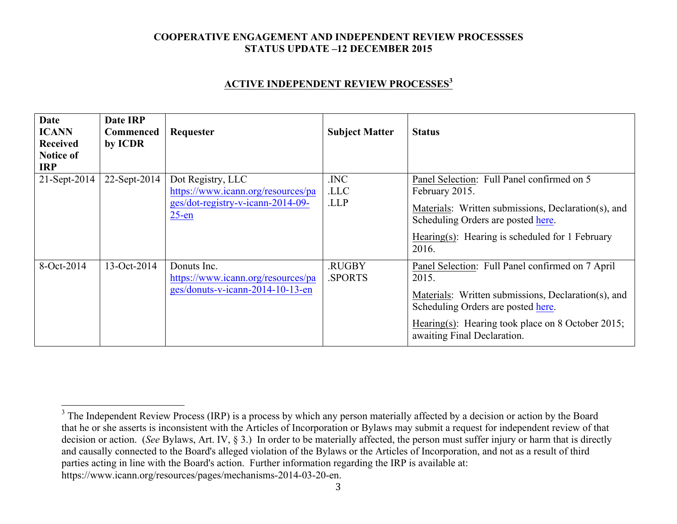### **ACTIVE INDEPENDENT REVIEW PROCESSES<sup>3</sup>**

| <b>Date</b><br><b>ICANN</b><br><b>Received</b><br><b>Notice of</b><br><b>IRP</b> | Date IRP<br><b>Commenced</b><br>by ICDR | Requester                                                                                                | <b>Subject Matter</b>   | <b>Status</b>                                                                                                                                                                                                                              |
|----------------------------------------------------------------------------------|-----------------------------------------|----------------------------------------------------------------------------------------------------------|-------------------------|--------------------------------------------------------------------------------------------------------------------------------------------------------------------------------------------------------------------------------------------|
| $21-Sept-2014$                                                                   | 22-Sept-2014                            | Dot Registry, LLC<br>https://www.icann.org/resources/pa<br>ges/dot-registry-v-icann-2014-09-<br>$25$ -en | .INC<br>.LLC<br>.LLP    | Panel Selection: Full Panel confirmed on 5<br>February 2015.<br>Materials: Written submissions, Declaration(s), and<br>Scheduling Orders are posted here.<br>Hearing(s): Hearing is scheduled for 1 February<br>2016.                      |
| 8-Oct-2014                                                                       | 13-Oct-2014                             | Donuts Inc.<br>https://www.icann.org/resources/pa<br>ges/donuts-v-icann-2014-10-13-en                    | .RUGBY<br><b>SPORTS</b> | Panel Selection: Full Panel confirmed on 7 April<br>2015.<br>Materials: Written submissions, Declaration(s), and<br>Scheduling Orders are posted here.<br>Hearing(s): Hearing took place on 8 October 2015;<br>awaiting Final Declaration. |

3

<sup>&</sup>lt;sup>3</sup> The Independent Review Process (IRP) is a process by which any person materially affected by a decision or action by the Board that he or she asserts is inconsistent with the Articles of Incorporation or Bylaws may submit a request for independent review of that decision or action. (*See* Bylaws, Art. IV, § 3.) In order to be materially affected, the person must suffer injury or harm that is directly and causally connected to the Board's alleged violation of the Bylaws or the Articles of Incorporation, and not as a result of third parties acting in line with the Board's action. Further information regarding the IRP is available at: https://www.icann.org/resources/pages/mechanisms-2014-03-20-en.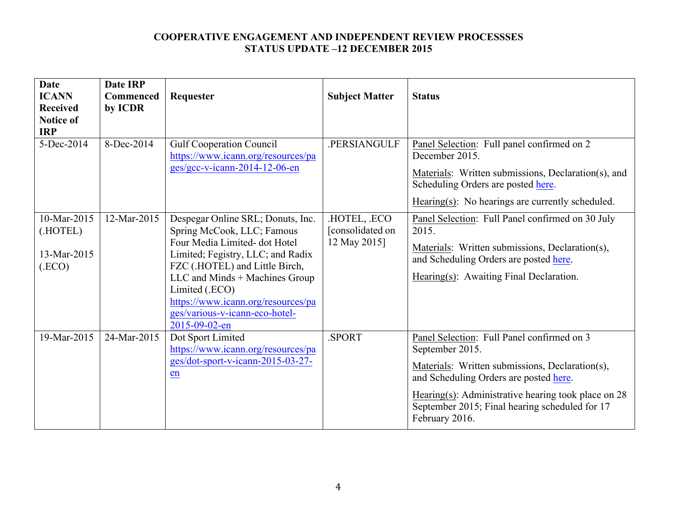| <b>Date</b><br><b>ICANN</b><br><b>Received</b><br><b>Notice of</b><br><b>IRP</b> | <b>Date IRP</b><br><b>Commenced</b><br>by ICDR | Requester                                                                                                                                                                                                                                                                                                           | <b>Subject Matter</b>                          | <b>Status</b>                                                                                                                                                                                                                                                                           |
|----------------------------------------------------------------------------------|------------------------------------------------|---------------------------------------------------------------------------------------------------------------------------------------------------------------------------------------------------------------------------------------------------------------------------------------------------------------------|------------------------------------------------|-----------------------------------------------------------------------------------------------------------------------------------------------------------------------------------------------------------------------------------------------------------------------------------------|
| 5-Dec-2014                                                                       | 8-Dec-2014                                     | <b>Gulf Cooperation Council</b><br>https://www.icann.org/resources/pa<br>$ges/gcc-v-icann-2014-12-06-en$                                                                                                                                                                                                            | <b>PERSIANGULF</b>                             | Panel Selection: Full panel confirmed on 2<br>December 2015.<br>Materials: Written submissions, Declaration(s), and<br>Scheduling Orders are posted here.<br>Hearing $(s)$ : No hearings are currently scheduled.                                                                       |
| 10-Mar-2015<br>(.HOTEL)<br>13-Mar-2015<br>(ECO)                                  | 12-Mar-2015                                    | Despegar Online SRL; Donuts, Inc.<br>Spring McCook, LLC; Famous<br>Four Media Limited-dot Hotel<br>Limited; Fegistry, LLC; and Radix<br>FZC (.HOTEL) and Little Birch,<br>LLC and Minds + Machines Group<br>Limited (.ECO)<br>https://www.icann.org/resources/pa<br>ges/various-v-icann-eco-hotel-<br>2015-09-02-en | HOTEL, ECO<br>[consolidated on<br>12 May 2015] | Panel Selection: Full Panel confirmed on 30 July<br>2015.<br>Materials: Written submissions, Declaration(s),<br>and Scheduling Orders are posted here.<br>Hearing(s): Awaiting Final Declaration.                                                                                       |
| 19-Mar-2015                                                                      | 24-Mar-2015                                    | Dot Sport Limited<br>https://www.icann.org/resources/pa<br>ges/dot-sport-v-icann-2015-03-27-<br>en                                                                                                                                                                                                                  | SPORT.                                         | Panel Selection: Full Panel confirmed on 3<br>September 2015.<br>Materials: Written submissions, Declaration(s),<br>and Scheduling Orders are posted here.<br>Hearing(s): Administrative hearing took place on $28$<br>September 2015; Final hearing scheduled for 17<br>February 2016. |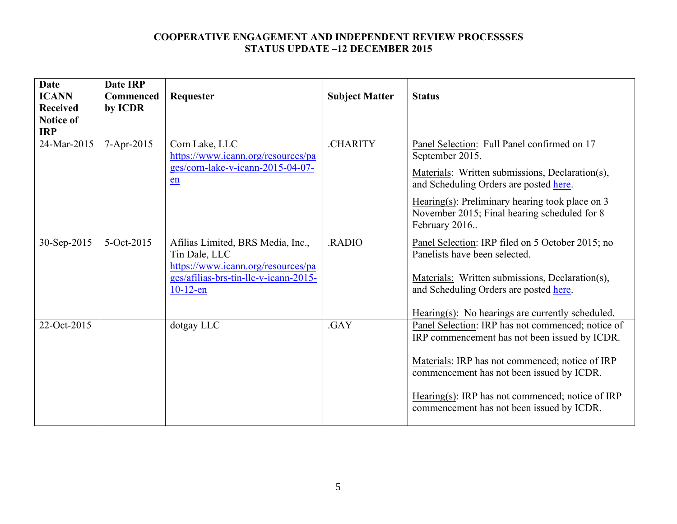| <b>Date</b><br><b>ICANN</b><br><b>Received</b><br><b>Notice of</b><br><b>IRP</b> | <b>Date IRP</b><br><b>Commenced</b><br>by ICDR | Requester                                                                                                                                        | <b>Subject Matter</b> | <b>Status</b>                                                                                                                                                                                                                                                                                       |
|----------------------------------------------------------------------------------|------------------------------------------------|--------------------------------------------------------------------------------------------------------------------------------------------------|-----------------------|-----------------------------------------------------------------------------------------------------------------------------------------------------------------------------------------------------------------------------------------------------------------------------------------------------|
| 24-Mar-2015                                                                      | 7-Apr-2015                                     | Corn Lake, LLC<br>https://www.icann.org/resources/pa<br>ges/corn-lake-v-icann-2015-04-07-<br>en                                                  | <b>CHARITY</b>        | Panel Selection: Full Panel confirmed on 17<br>September 2015.<br>Materials: Written submissions, Declaration(s),<br>and Scheduling Orders are posted here.<br>Hearing(s): Preliminary hearing took place on $3$<br>November 2015; Final hearing scheduled for 8<br>February 2016                   |
| 30-Sep-2015                                                                      | 5-Oct-2015                                     | Afilias Limited, BRS Media, Inc.,<br>Tin Dale, LLC<br>https://www.icann.org/resources/pa<br>ges/afilias-brs-tin-llc-v-icann-2015-<br>$10-12$ -en | RADIO.                | Panel Selection: IRP filed on 5 October 2015; no<br>Panelists have been selected.<br>Materials: Written submissions, Declaration(s),<br>and Scheduling Orders are posted here.<br>$Hearing(s)$ : No hearings are currently scheduled.                                                               |
| 22-Oct-2015                                                                      |                                                | dotgay LLC                                                                                                                                       | .GAY                  | Panel Selection: IRP has not commenced; notice of<br>IRP commencement has not been issued by ICDR.<br>Materials: IRP has not commenced; notice of IRP<br>commencement has not been issued by ICDR.<br>Hearing(s): IRP has not commenced; notice of IRP<br>commencement has not been issued by ICDR. |